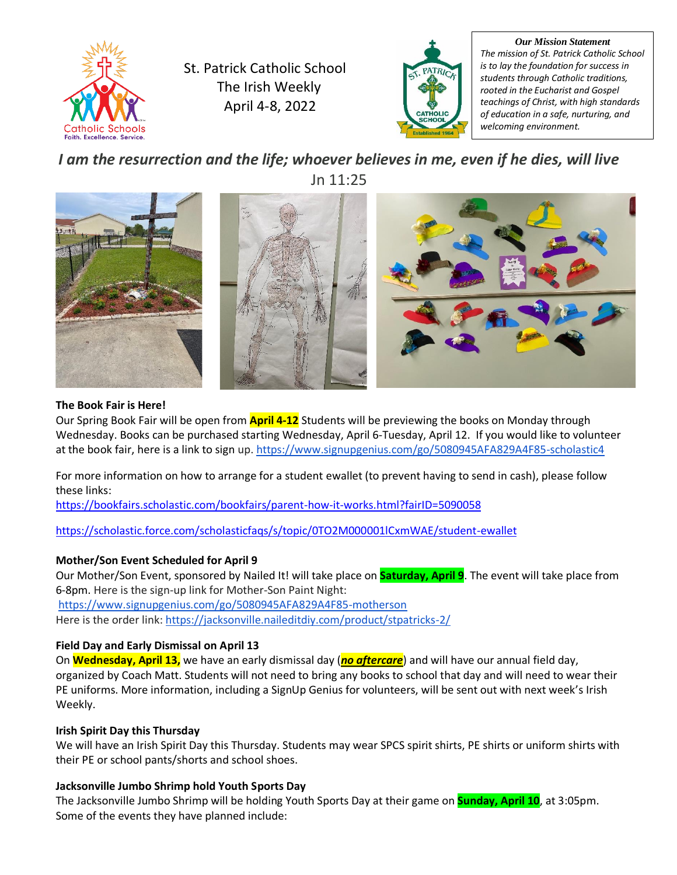

St. Patrick Catholic School The Irish Weekly April 4-8, 2022



*Our Mission Statement The mission of St. Patrick Catholic School is to lay the foundation for success in students through Catholic traditions, rooted in the Eucharist and Gospel teachings of Christ, with high standards of education in a safe, nurturing, and welcoming environment.*

### *I am the resurrection and the life; whoever believes in me, even if he dies, will live* Jn 11:25



#### **The Book Fair is Here!**

Our Spring Book Fair will be open from **April 4-12** Students will be previewing the books on Monday through Wednesday. Books can be purchased starting Wednesday, April 6-Tuesday, April 12. If you would like to volunteer at the book fair, here is a link to sign up. <https://www.signupgenius.com/go/5080945AFA829A4F85-scholastic4>

For more information on how to arrange for a student ewallet (to prevent having to send in cash), please follow these links:

<https://bookfairs.scholastic.com/bookfairs/parent-how-it-works.html?fairID=5090058>

<https://scholastic.force.com/scholasticfaqs/s/topic/0TO2M000001lCxmWAE/student-ewallet>

#### **Mother/Son Event Scheduled for April 9**

Our Mother/Son Event, sponsored by Nailed It! will take place on **Saturday, April 9**. The event will take place from 6-8pm. Here is the sign-up link for Mother-Son Paint Night: <https://www.signupgenius.com/go/5080945AFA829A4F85-motherson> Here is the order link: <https://jacksonville.naileditdiy.com/product/stpatricks-2/>

#### **Field Day and Early Dismissal on April 13**

On **Wednesday, April 13,** we have an early dismissal day (*no aftercare*) and will have our annual field day, organized by Coach Matt. Students will not need to bring any books to school that day and will need to wear their PE uniforms. More information, including a SignUp Genius for volunteers, will be sent out with next week's Irish Weekly.

#### **Irish Spirit Day this Thursday**

We will have an Irish Spirit Day this Thursday. Students may wear SPCS spirit shirts, PE shirts or uniform shirts with their PE or school pants/shorts and school shoes.

#### **Jacksonville Jumbo Shrimp hold Youth Sports Day**

The Jacksonville Jumbo Shrimp will be holding Youth Sports Day at their game on **Sunday, April 10**, at 3:05pm. Some of the events they have planned include: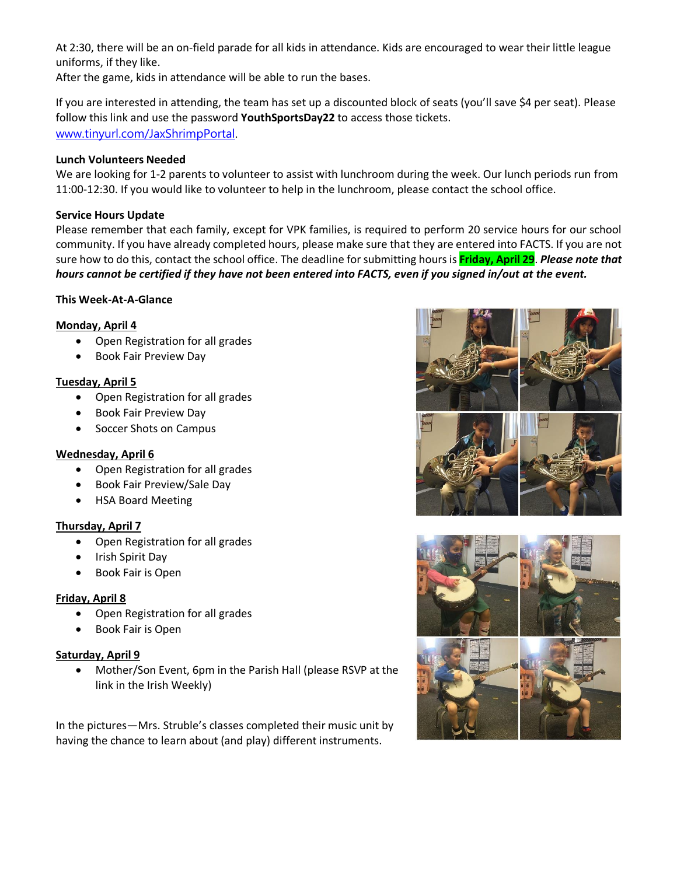At 2:30, there will be an on-field parade for all kids in attendance. Kids are encouraged to wear their little league uniforms, if they like.

After the game, kids in attendance will be able to run the bases.

If you are interested in attending, the team has set up a discounted block of seats (you'll save \$4 per seat). Please follow this link and use the password **YouthSportsDay22** to access those tickets. [www.tinyurl.com/JaxShrimpPortal.](http://www.tinyurl.com/JaxShrimpPortal)

#### **Lunch Volunteers Needed**

We are looking for 1-2 parents to volunteer to assist with lunchroom during the week. Our lunch periods run from 11:00-12:30. If you would like to volunteer to help in the lunchroom, please contact the school office.

#### **Service Hours Update**

Please remember that each family, except for VPK families, is required to perform 20 service hours for our school community. If you have already completed hours, please make sure that they are entered into FACTS. If you are not sure how to do this, contact the school office. The deadline for submitting hours is **Friday, April 29**. *Please note that hours cannot be certified if they have not been entered into FACTS, even if you signed in/out at the event.*

#### **This Week-At-A-Glance**

#### **Monday, April 4**

- Open Registration for all grades
- Book Fair Preview Day

#### **Tuesday, April 5**

- Open Registration for all grades
- Book Fair Preview Day
- Soccer Shots on Campus

#### **Wednesday, April 6**

- Open Registration for all grades
- Book Fair Preview/Sale Day
- HSA Board Meeting

#### **Thursday, April 7**

- Open Registration for all grades
- Irish Spirit Day
- Book Fair is Open

#### **Friday, April 8**

- Open Registration for all grades
- Book Fair is Open

#### **Saturday, April 9**

• Mother/Son Event, 6pm in the Parish Hall (please RSVP at the link in the Irish Weekly)

In the pictures—Mrs. Struble's classes completed their music unit by having the chance to learn about (and play) different instruments.



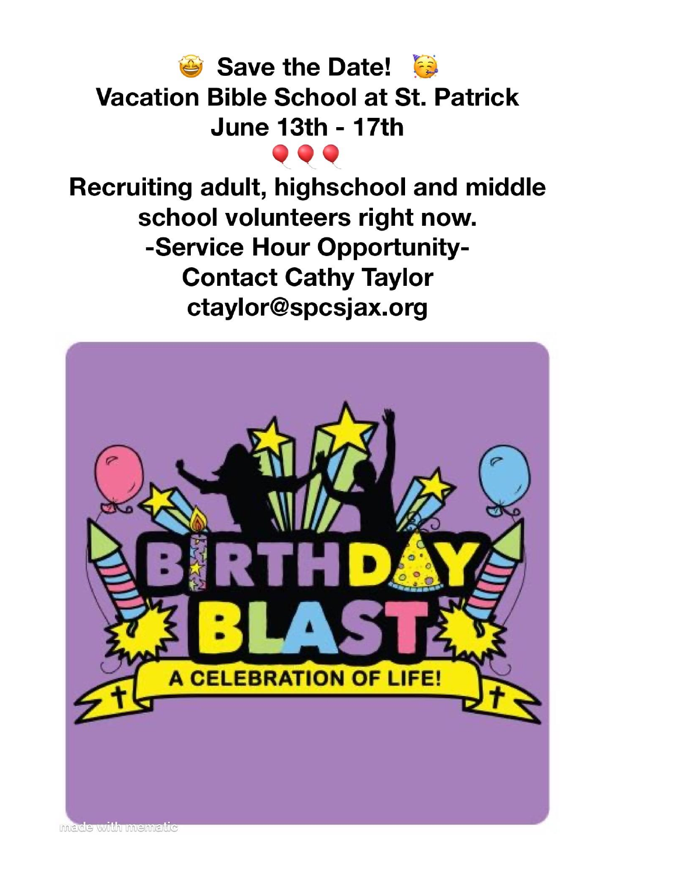

Recruiting adult, highschool and middle school volunteers right now. -Service Hour Opportunity-**Contact Cathy Taylor** ctaylor@spcsjax.org